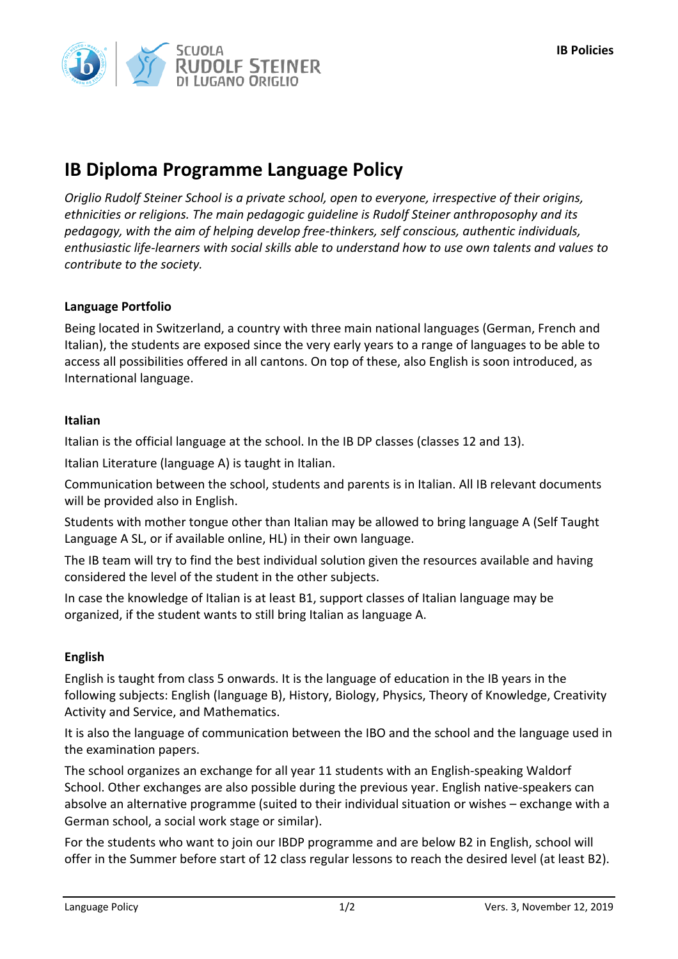

# **IB Diploma Programme Language Policy**

*Origlio Rudolf Steiner School is a private school, open to everyone, irrespective of their origins, ethnicities or religions. The main pedagogic guideline is Rudolf Steiner anthroposophy and its pedagogy, with the aim of helping develop free-thinkers, self conscious, authentic individuals, enthusiastic life-learners with social skills able to understand how to use own talents and values to contribute to the society.*

## **Language Portfolio**

Being located in Switzerland, a country with three main national languages (German, French and Italian), the students are exposed since the very early years to a range of languages to be able to access all possibilities offered in all cantons. On top of these, also English is soon introduced, as International language.

### **Italian**

Italian is the official language at the school. In the IB DP classes (classes 12 and 13).

Italian Literature (language A) is taught in Italian.

Communication between the school, students and parents is in Italian. All IB relevant documents will be provided also in English.

Students with mother tongue other than Italian may be allowed to bring language A (Self Taught Language A SL, or if available online, HL) in their own language.

The IB team will try to find the best individual solution given the resources available and having considered the level of the student in the other subjects.

In case the knowledge of Italian is at least B1, support classes of Italian language may be organized, if the student wants to still bring Italian as language A.

## **English**

English is taught from class 5 onwards. It is the language of education in the IB years in the following subjects: English (language B), History, Biology, Physics, Theory of Knowledge, Creativity Activity and Service, and Mathematics.

It is also the language of communication between the IBO and the school and the language used in the examination papers.

The school organizes an exchange for all year 11 students with an English-speaking Waldorf School. Other exchanges are also possible during the previous year. English native-speakers can absolve an alternative programme (suited to their individual situation or wishes – exchange with a German school, a social work stage or similar).

For the students who want to join our IBDP programme and are below B2 in English, school will offer in the Summer before start of 12 class regular lessons to reach the desired level (at least B2).